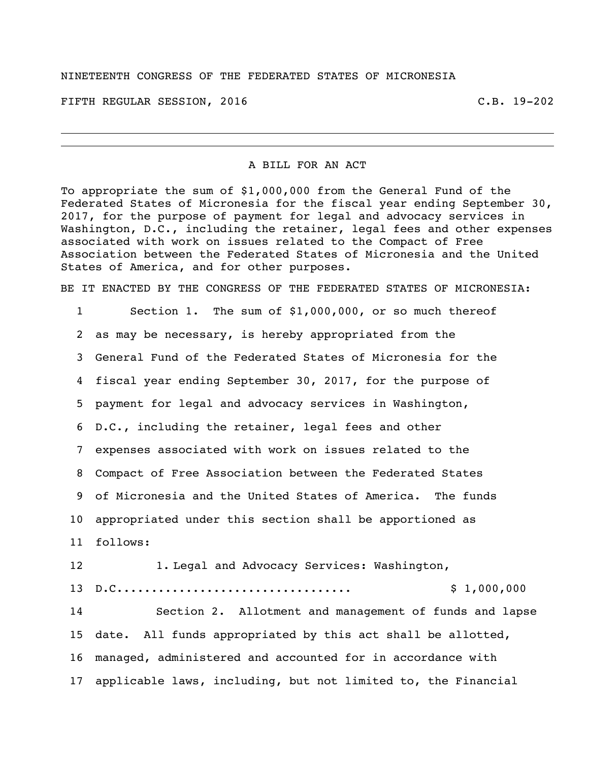## NINETEENTH CONGRESS OF THE FEDERATED STATES OF MICRONESIA

FIFTH REGULAR SESSION, 2016 C.B. 19-202

## A BILL FOR AN ACT

To appropriate the sum of \$1,000,000 from the General Fund of the Federated States of Micronesia for the fiscal year ending September 30, 2017, for the purpose of payment for legal and advocacy services in Washington, D.C., including the retainer, legal fees and other expenses associated with work on issues related to the Compact of Free Association between the Federated States of Micronesia and the United States of America, and for other purposes.

BE IT ENACTED BY THE CONGRESS OF THE FEDERATED STATES OF MICRONESIA:

 Section 1. The sum of \$1,000,000, or so much thereof as may be necessary, is hereby appropriated from the General Fund of the Federated States of Micronesia for the fiscal year ending September 30, 2017, for the purpose of payment for legal and advocacy services in Washington, D.C., including the retainer, legal fees and other expenses associated with work on issues related to the Compact of Free Association between the Federated States of Micronesia and the United States of America. The funds appropriated under this section shall be apportioned as follows: 1. Legal and Advocacy Services: Washington, D.C.................................. \$ 1,000,000 Section 2. Allotment and management of funds and lapse date. All funds appropriated by this act shall be allotted, managed, administered and accounted for in accordance with

applicable laws, including, but not limited to, the Financial